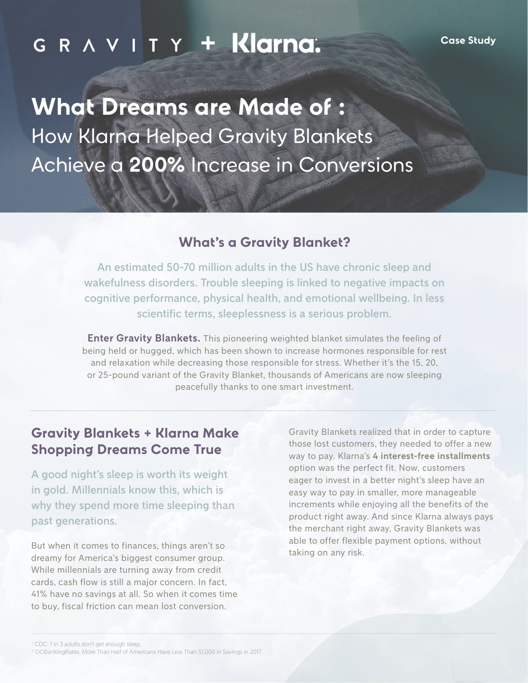# **4 1 C R**  $\wedge$  **V I T Y + Klarna**.

**What Dreams are Made of :** How Klarna Helped Gravity Blankets Achieve a **200%** Increase in Conversions

#### **What's a Gravity Blanket?**

An estimated 50-70 million adults in the US have chronic sleep and wakefulness disorders. Trouble sleeping is linked to negative impacts on cognitive performance, physical health, and emotional wellbeing. In less scientific terms, sleeplessness is a serious problem.

**Enter Gravity Blankets.** This pioneering weighted blanket simulates the feeling of being held or hugged, which has been shown to increase hormones responsible for rest and relaxation while decreasing those responsible for stress. Whether it's the 15, 20, or 25-pound variant of the Gravity Blanket, thousands of Americans are now sleeping peacefully thanks to one smart investment.

#### **Gravity Blankets + Klarna Make Shopping Dreams Come True**

A good night's sleep is worth its weight in gold. Millennials know this, which is why they spend more time sleeping than past generations.

But when it comes to finances, things aren't so dreamy for America's biggest consumer group. While millennials are turning away from credit cards, cash flow is still a major concern. In fact, 41% have no savings at all. So when it comes time to buy, fiscal friction can mean lost conversion.

Gravity Blankets realized that in order to capture those lost customers, they needed to offer a new way to pay. Klarna's **4 interest-free installments** option was the perfect fit. Now, customers eager to invest in a better night's sleep have an easy way to pay in smaller, more manageable increments while enjoying all the benefits of the product right away. And since Klarna always pays the merchant right away, Gravity Blankets was able to offer flexible payment options, without taking on any risk.

<sup>&</sup>lt;sup>1</sup> CDC: 1 in 3 adults don't get enough sleep.

<sup>2</sup> GOBankingRates: More Than Half of Americans Have Less Than \$1,000 in Savings in 2017.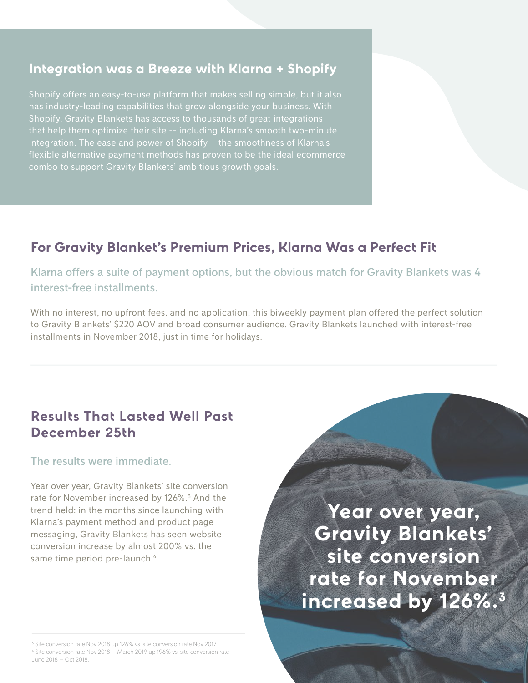#### **Integration was a Breeze with Klarna + Shopify**

Shopify offers an easy-to-use platform that makes selling simple, but it also has industry-leading capabilities that grow alongside your business. With Shopify, Gravity Blankets has access to thousands of great integrations that help them optimize their site -- including Klarna's smooth two-minute integration. The ease and power of Shopify + the smoothness of Klarna's flexible alternative payment methods has proven to be the ideal ecommerce combo to support Gravity Blankets' ambitious growth goals.

### **For Gravity Blanket's Premium Prices, Klarna Was a Perfect Fit**

Klarna offers a suite of payment options, but the obvious match for Gravity Blankets was 4 interest-free installments.

With no interest, no upfront fees, and no application, this biweekly payment plan offered the perfect solution to Gravity Blankets' \$220 AOV and broad consumer audience. Gravity Blankets launched with interest-free installments in November 2018, just in time for holidays.

#### **Results That Lasted Well Past December 25th**

The results were immediate.

Year over year, Gravity Blankets' site conversion rate for November increased by 126%.<sup>3</sup> And the trend held: in the months since launching with Klarna's payment method and product page messaging, Gravity Blankets has seen website conversion increase by almost 200% vs. the same time period pre-launch.<sup>4</sup>

**Year over year, Gravity Blankets' site conversion rate for November increased by 126%.3**

<sup>&</sup>lt;sup>3</sup> Site conversion rate Nov 2018 up 126% vs. site conversion rate Nov 2017.

<sup>4</sup> Site conversion rate Nov 2018 – March 2019 up 196% vs. site conversion rate June 2018 – Oct 2018.